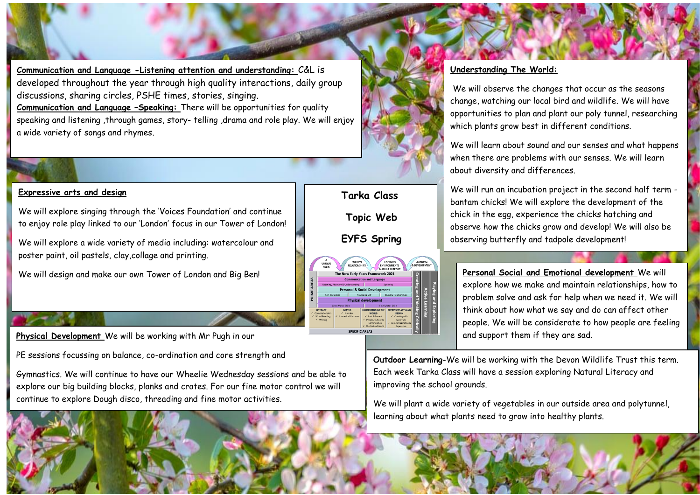**Communication and Language -Listening attention and understanding:** C&L is developed throughout the year through high quality interactions, daily group discussions, sharing circles, PSHE times, stories, singing. **Communication and Language –Speaking:** There will be opportunities for quality speaking and listening ,through games, story- telling ,drama and role play. We will enjoy a wide variety of songs and rhymes.

## **Expressive arts and design**

We will explore singing through the 'Voices Foundation' and continue to enjoy role play linked to our 'London' focus in our Tower of London!

We will explore a wide variety of media including: watercolour and poster paint, oil pastels, clay,collage and printing.

We will design and make our own Tower of London and Big Ben!

**Physical Development** We will be working with Mr Pugh in our

PE sessions focussing on balance, co-ordination and core strength and

Gymnastics. We will continue to have our Wheelie Wednesday sessions and be able to explore our big building blocks, planks and crates. For our fine motor control we will continue to explore Dough disco, threading and fine motor activities.



## **Understanding The World:**

We will observe the changes that occur as the seasons change, watching our local bird and wildlife. We will have opportunities to plan and plant our poly tunnel, researching which plants grow best in different conditions.

We will learn about sound and our senses and what happens when there are problems with our senses. We will learn about diversity and differences.

We will run an incubation project in the second half term bantam chicks! We will explore the development of the chick in the egg, experience the chicks hatching and observe how the chicks grow and develop! We will also be observing butterfly and tadpole development!

**Personal Social and Emotional development** We will explore how we make and maintain relationships, how to problem solve and ask for help when we need it. We will think about how what we say and do can affect other people. We will be considerate to how people are feeling and support them if they are sad.

Outdoor Learning-We will be working with the Devon Wildlife Trust this term. و<br>Each week Tarka Class will have a session exploring Natural Literacy and improving the school grounds.

We will plant a wide variety of vegetables in our outside area and polytunnel, learning about what plants need to grow into healthy plants.

.

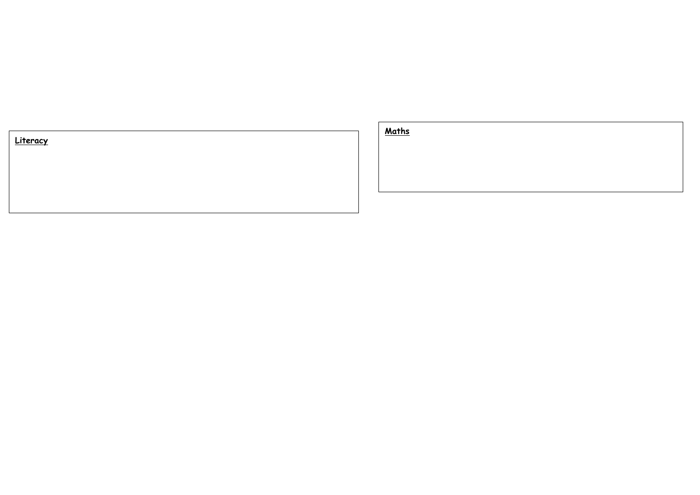

**Maths**